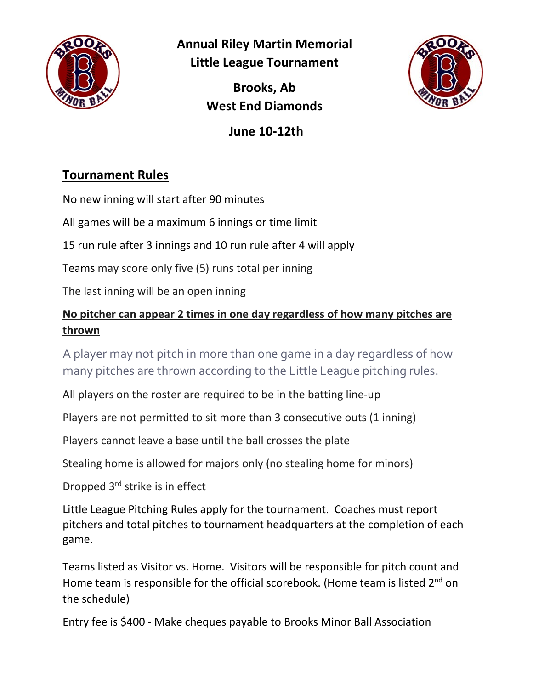

**Annual Riley Martin Memorial Little League Tournament**

> **Brooks, Ab West End Diamonds**



**June 10-12th**

## **Tournament Rules**

No new inning will start after 90 minutes

All games will be a maximum 6 innings or time limit

15 run rule after 3 innings and 10 run rule after 4 will apply

Teams may score only five (5) runs total per inning

The last inning will be an open inning

## **No pitcher can appear 2 times in one day regardless of how many pitches are thrown**

A player may not pitch in more than one game in a day regardless of how many pitches are thrown according to the Little League pitching rules.

All players on the roster are required to be in the batting line-up

Players are not permitted to sit more than 3 consecutive outs (1 inning)

Players cannot leave a base until the ball crosses the plate

Stealing home is allowed for majors only (no stealing home for minors)

Dropped 3rd strike is in effect

Little League Pitching Rules apply for the tournament. Coaches must report pitchers and total pitches to tournament headquarters at the completion of each game.

Teams listed as Visitor vs. Home. Visitors will be responsible for pitch count and Home team is responsible for the official scorebook. (Home team is listed 2<sup>nd</sup> on the schedule)

Entry fee is \$400 - Make cheques payable to Brooks Minor Ball Association